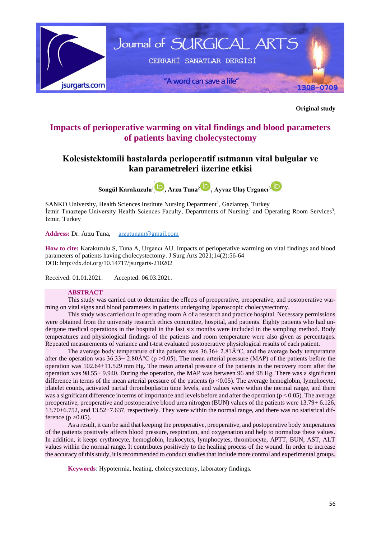

**Original study**

# **Impacts of perioperative warming on vital findings and blood parameters of patients having cholecystectomy**

# **Kolesistektomili hastalarda perioperatif ısıtmanın vital bulgular ve kan parametreleri üzerine etkisi**

**Songül Karakuzulu<sup>1</sup> , Arzu Tuna<sup>2</sup> [,](https://orcid.org/0000-0001-9024-3513) Ayvaz Ulaş Urgancı[3](https://orcid.org/0000-0002-1394-8939)**

SANKO University, Health Sciences Institute Nursing Department<sup>1</sup>, Gaziantep, Turkey İzmir Tınaztepe University Health Sciences Faculty, Departments of Nursing<sup>2</sup> and Operating Room Services<sup>3</sup>, İzmir, Turkey

**Address:** Dr. Arzu Tuna, [arzutunam@gmail.com](mailto:arzutunam@gmail.com)

**How to cite:** Karakuzulu S, Tuna A, Urgancı AU. Impacts of perioperative warming on vital findings and blood parameters of patients having cholecystectomy. J Surg Arts 2021;14(2):56-64 DOI:<http://dx.doi.org/10.14717/jsurgarts-210202>

Received: 01.01.2021. Accepted: 06.03.2021.

## **ABSTRACT**

This study was carried out to determine the effects of preoperative, preoperative, and postoperative warming on vital signs and blood parameters in patients undergoing laparoscopic cholecystectomy.

This study was carried out in operating room A of a research and practice hospital. Necessary permissions were obtained from the university research ethics committee, hospital, and patients. Eighty patients who had undergone medical operations in the hospital in the last six months were included in the sampling method. Body temperatures and physiological findings of the patients and room temperature were also given as percentages. Repeated measurements of variance and t-test evaluated postoperative physiological results of each patient.

The average body temperature of the patients was  $36.36 \pm 2.81 \text{\AA}^{\circ}\text{C}$ , and the average body temperature after the operation was  $36.33+2.80\text{\AA}^{\circ}\text{C}$  (p > 0.05). The mean arterial pressure (MAP) of the patients before the operation was 102.64+11.529 mm Hg. The mean arterial pressure of the patients in the recovery room after the operation was 98.55+ 9.940. During the operation, the MAP was between 96 and 98 Hg. There was a significant difference in terms of the mean arterial pressure of the patients  $(p < 0.05)$ . The average hemoglobin, lymphocyte, platelet counts, activated partial thromboplastin time levels, and values were within the normal range, and there was a significant difference in terms of importance and levels before and after the operation ( $p < 0.05$ ). The average preoperative, preoperative and postoperative blood urea nitrogen (BUN) values of the patients were 13.79+ 6.126, 13.70+6.752, and 13.52+7.637, respectively. They were within the normal range, and there was no statistical difference ( $p > 0.05$ ).

As a result, it can be said that keeping the preoperative, preoperative, and postoperative body temperatures of the patients positively affects blood pressure, respiration, and oxygenation and help to normalize these values. In addition, it keeps erythrocyte, hemoglobin, leukocytes, lymphocytes, thrombocyte, APTT, BUN, AST, ALT values within the normal range. It contributes positively to the healing process of the wound. In order to increase the accuracy of this study, it is recommended to conduct studies that include more control and experimental groups.

**Keywords**: Hypotermia, heating, cholecystectomy, laboratory findings.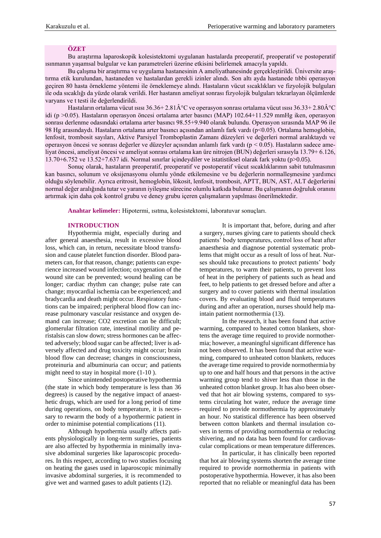### **ÖZET**

Bu araştırma laparoskopik kolesistektomi uygulanan hastalarda preoperatif, preoperatif ve postoperatif ısınmanın yaşamsal bulgular ve kan parametreleri üzerine etkisini belirlemek amacıyla yapıldı.

Bu çalışma bir araştırma ve uygulama hastanesinin A ameliyathanesinde gerçekleştirildi. Üniversite araştırma etik kurulundan, hastaneden ve hastalardan gerekli izinler alındı. Son altı ayda hastanede tıbbi operasyon geçiren 80 hasta örnekleme yöntemi ile örneklemeye alındı. Hastaların vücut sıcaklıkları ve fizyolojik bulguları ile oda sıcaklığı da yüzde olarak verildi. Her hastanın ameliyat sonrası fizyolojik bulguları tekrarlayan ölçümlerde varyans ve t testi ile değerlendirildi.

Hastaların ortalama vücut ısısı  $36.36+2.81\hat{A}^{\circ}C$  ve operasyon sonrası ortalama vücut ısısı  $36.33+2.80\hat{A}^{\circ}C$ idi (p >0.05). Hastaların operasyon öncesi ortalama arter basıncı (MAP) 102.64+11.529 mmHg iken, operasyon sonrası derlenme odasındaki ortalama arter basıncı 98.55+9.940 olarak bulundu. Operasyon sırasında MAP 96 ile 98 Hg arasındaydı. Hastaların ortalama arter basıncı açısından anlamlı fark vardı (p<0.05). Ortalama hemoglobin, lenfosit, trombosit sayıları, Aktive Parsiyel Tromboplastin Zamanı düzeyleri ve değerleri normal aralıktaydı ve operasyon öncesi ve sonrası değerler ve düzeyler açısından anlamlı fark vardı (p < 0.05). Hastaların sadece ameliyat öncesi, ameliyat öncesi ve ameliyat sonrası ortalama kan üre nitrojen (BUN) değerleri sırasıyla 13.79+ 6.126, 13.70+6.752 ve 13.52+7.637 idi. Normal sınırlar içindeydiler ve istatistiksel olarak fark yoktu (p>0.05).

Sonuç olarak, hastaların preoperatif, preoperatif ve postoperatif vücut sıcaklıklarının sabit tutulmasının kan basıncı, solunum ve oksijenasyonu olumlu yönde etkilemesine ve bu değerlerin normalleşmesine yardımcı olduğu söylenebilir. Ayrıca eritrosit, hemoglobin, lökosit, lenfosit, trombosit, APTT, BUN, AST, ALT değerlerini normal değer aralığında tutar ve yaranın iyileşme sürecine olumlu katkıda bulunur. Bu çalışmanın doğruluk oranını artırmak için daha çok kontrol grubu ve deney grubu içeren çalışmaların yapılması önerilmektedir.

**Anahtar kelimeler:** Hipotermi, ısıtma, kolesistektomi, laboratuvar sonuçları.

#### **INTRODUCTION**

Hypothermia might, especially during and after general anaesthesia, result in excessive blood loss, which can, in return, necessitate blood transfusion and cause platelet function disorder. Blood parameters can, for that reason, change; patients can experience increased wound infection; oxygenation of the wound site can be prevented; wound healing can be longer; cardiac rhythm can change; pulse rate can change; myocardial ischemia can be experienced; and bradycardia and death might occur. Respiratory functions can be impaired; peripheral blood flow can increase pulmonary vascular resistance and oxygen demand can increase; CO2 excretion can be difficult; glomerular filtration rate, intestinal motility and peristalsis can slow down; stress hormones can be affected adversely; blood sugar can be affected; liver is adversely affected and drug toxicity might occur; brain blood flow can decrease; changes in consciousness, proteinuria and albuminuria can occur; and patients might need to stay in hospital more (1-10 ).

Since unintended postoperative hypothermia (the state in which body temperature is less than 36 degrees) is caused by the negative impact of anaesthetic drugs, which are used for a long period of time during operations, on body temperature, it is necessary to rewarm the body of a hypothermic patient in order to minimise potential complications (11).

Although hypothermia usually affects patients physiologically in long-term surgeries, patients are also affected by hypothermia in minimally invasive abdominal surgeries like laparoscopic procedures. In this respect, according to two studies focusing on heating the gases used in laparoscopic minimally invasive abdominal surgeries, it is recommended to give wet and warmed gases to adult patients (12).

It is important that, before, during and after a surgery, nurses giving care to patients should check patients' body temperatures, control loss of heat after anaesthesia and diagnose potential systematic problems that might occur as a result of loss of heat. Nurses should take precautions to protect patients' body temperatures, to warm their patients, to prevent loss of heat in the periphery of patients such as head and feet, to help patients to get dressed before and after a surgery and to cover patients with thermal insulation covers. By evaluating blood and fluid temperatures during and after an operation, nurses should help maintain patient normothermia (13).

In the research, it has been found that active warming, compared to heated cotton blankets, shortens the average time required to provide normothermia; however, a meaningful significant difference has not been observed. It has been found that active warming, compared to unheated cotton blankets, reduces the average time required to provide normothermia by up to one and half hours and that persons in the active warming group tend to shiver less than those in the unheated cotton blanket group. It has also been observed that hot air blowing systems, compared to systems circulating hot water, reduce the average time required to provide normothermia by approximately an hour. No statistical difference has been observed between cotton blankets and thermal insulation covers in terms of providing normothermia or reducing shivering, and no data has been found for cardiovascular complications or mean temperature differences.

In particular, it has clinically been reported that hot air blowing systems shorten the average time required to provide normothermia in patients with postoperative hypothermia. However, it has also been reported that no reliable or meaningful data has been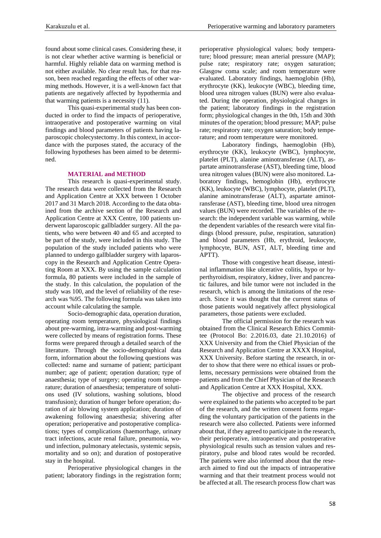found about some clinical cases. Considering these, it is not clear whether active warming is beneficial or harmful. Highly reliable data on warming method is not either available. No clear result has, for that reason, been reached regarding the effects of other warming methods. However, it is a well-known fact that patients are negatively affected by hypothermia and that warming patients is a necessity (11).

This quasi-experimental study has been conducted in order to find the impacts of perioperative, intraoperative and postoperative warming on vital findings and blood parameters of patients having laparoscopic cholecystectomy. In this context, in accordance with the purposes stated, the accuracy of the following hypotheses has been aimed to be determined.

## **MATERIAL and METHOD**

This research is quasi-experimental study. The research data were collected from the Research and Application Centre at XXX between 1 October 2017 and 31 March 2018. According to the data obtained from the archive section of the Research and Application Centre at XXX Centre, 100 patients underwent laparoscopic gallbladder surgery. All the patients, who were between 40 and 65 and accepted to be part of the study, were included in this study. The population of the study included patients who were planned to undergo gallbladder surgery with laparoscopy in the Research and Application Centre Operating Room at XXX. By using the sample calculation formula, 80 patients were included in the sample of the study. In this calculation, the population of the study was 100, and the level of reliability of the research was %95. The following formula was taken into account while calculating the sample.

Socio-demographic data, operation duration, operating room temperature, physiological findings about pre-warming, intra-warming and post-warming were collected by means of registration forms. These forms were prepared through a detailed search of the literature. Through the socio-demographical data form, information about the following questions was collected: name and surname of patient; participant number; age of patient; operation duration; type of anaesthesia; type of surgery; operating room temperature; duration of anaesthesia; temperature of solutions used (IV solutions, washing solutions, blood transfusion); duration of hunger before operation; duration of air blowing system application; duration of awakening following anaesthesia; shivering after operation; perioperative and postoperative complications; types of complications (haemorrhage, urinary tract infections, acute renal failure, pneumonia, wound infection, pulmonary atelectasis, systemic sepsis, mortality and so on); and duration of postoperative stay in the hospital.

Perioperative physiological changes in the patient; laboratory findings in the registration form; perioperative physiological values; body temperature; blood pressure; mean arterial pressure (MAP); pulse rate; respiratory rate; oxygen saturation; Glasgow coma scale; and room temperature were evaluated. Laboratory findings, haemoglobin (Hb), erythrocyte (KK), leukocyte (WBC), bleeding time, blood urea nitrogen values (BUN) were also evaluated. During the operation, physiological changes in the patient; laboratory findings in the registration form; physiological changes in the 0th, 15th and 30th minutes of the operation; blood pressure; MAP; pulse rate; respiratory rate; oxygen saturation; body temperature; and room temperature were monitored.

Laboratory findings, haemoglobin (Hb), erythrocyte (KK), leukocyte (WBC), lymphocyte, platelet (PLT), alanine aminotransferase (ALT), aspartate aminotransferase (AST), bleeding time, blood urea nitrogen values (BUN) were also monitored. Laboratory findings, hemoglobin (Hb), erythrocyte (KK), leukocyte (WBC), lymphocyte, platelet (PLT), alanine aminotransferase (ALT), aspartate aminotransferase (AST), bleeding time, blood urea nitrogen values (BUN) were recorded. The variables of the research: the independent variable was warming, while the dependent variables of the research were vital findings (blood pressure, pulse, respiration, saturation) and blood parameters (Hb, erythroid, leukocyte, lymphocyte, BUN, AST, ALT, bleeding time and APTT).

Those with congestive heart disease, intestinal inflammation like ulcerative colitis, hypo or hyperthyroidism, respiratory, kidney, liver and pancreatic failures, and bile tumor were not included in the research, which is among the limitations of the research. Since it was thought that the current status of those patients would negatively affect physiological parameters, those patients were excluded.

The official permission for the research was obtained from the Clinical Research Ethics Committee (Protocol Bo: 2.2016.03, date 21.10.2016) of XXX University and from the Chief Physician of the Research and Application Centre at XXXX Hospital, XXX University. Before starting the research, in order to show that there were no ethical issues or problems, necessary permissions were obtained from the patients and from the Chief Physician of the Research and Application Centre at XXX Hospital, XXX.

The objective and process of the research were explained to the patients who accepted to be part of the research, and the written consent forms regarding the voluntary participation of the patients in the research were also collected. Patients were informed about that, if they agreed to participate in the research, their perioperative, intraoperative and postoperative physiological results such as tension values and respiratory, pulse and blood rates would be recorded. The patients were also informed about that the research aimed to find out the impacts of intraoperative warming and that their treatment process would not be affected at all. The research process flow chart was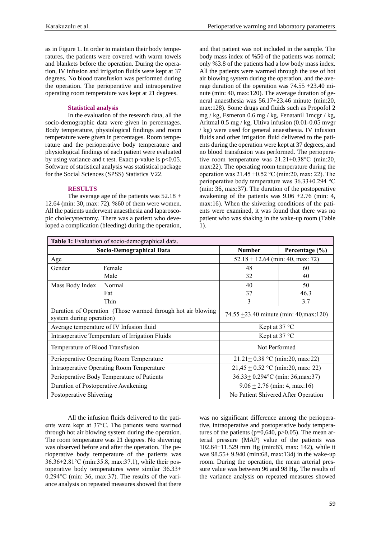as in Figure 1. In order to maintain their body temperatures, the patients were covered with warm towels and blankets before the operation. During the operation, IV infusion and irrigation fluids were kept at 37 degrees. No blood transfusion was performed during the operation. The perioperative and intraoperative operating room temperature was kept at 21 degrees.

## **Statistical analysis**

In the evaluation of the research data, all the socio-demographic data were given in percentages. Body temperature, physiological findings and room temperature were given in percentages. Room temperature and the perioperative body temperature and physiological findings of each patient were evaluated by using variance and t test. Exact p-value is  $p<0.05$ . Software of statistical analysis was statistical package for the Social Sciences (SPSS) Statistics V22.

## **RESULTS**

The average age of the patients was  $52.18 +$ 12.64 (min: 30, max: 72). %60 of them were women. All the patients underwent anaesthesia and laparoscopic cholecystectomy. There was a patient who developed a complication (bleeding) during the operation, and that patient was not included in the sample. The body mass index of %50 of the patients was normal; only %3.8 of the patients had a low body mass index. All the patients were warmed through the use of hot air blowing system during the operation, and the average duration of the operation was 74.55 +23.40 minute (min: 40, max:120). The average duration of general anaesthesia was 56.17+23.46 minute (min:20, max:128). Some drugs and fluids such as Propofol 2 mg / kg, Esmeron 0.6 mg / kg, Fenatanil 1mcgr / kg, Aritmal 0.5 mg / kg, Ultiva infusion (0.01-0.05 mvgr / kg) were used for general anaesthesia. IV infusion fluids and other irrigation fluid delivered to the patients during the operation were kept at 37 degrees, and no blood transfusion was performed. The perioperative room temperature was 21.21+0.38°C (min:20, max:22). The operating room temperature during the operation was 21.45 +0.52 °C (min:20, max: 22). The perioperative body temperature was 36.33+0.294 °C (min: 36, max:37). The duration of the postoperative awakening of the patients was 9.06 +2.76 (min: 4, max:16). When the shivering conditions of the patients were examined, it was found that there was no patient who was shaking in the wake-up room (Table 1).

| Table 1: Evaluation of socio-demographical data.                                        |        |                                              |                    |  |  |
|-----------------------------------------------------------------------------------------|--------|----------------------------------------------|--------------------|--|--|
| Socio-Demographical Data                                                                |        | <b>Number</b>                                | Percentage $(\% )$ |  |  |
| Age                                                                                     |        | $52.18 + 12.64$ (min: 40, max: 72)           |                    |  |  |
| Gender                                                                                  | Female | 48                                           | 60                 |  |  |
|                                                                                         | Male   | 32                                           | 40                 |  |  |
| Mass Body Index                                                                         | Normal | 40                                           | 50                 |  |  |
|                                                                                         | Fat    | 37                                           | 46.3               |  |  |
|                                                                                         | Thin   | 3                                            | 3.7                |  |  |
| Duration of Operation (Those warmed through hot air blowing<br>system during operation) |        | 74.55 $\pm$ 23.40 minute (min: 40, max: 120) |                    |  |  |
| Average temperature of IV Infusion fluid                                                |        | Kept at $37^{\circ}$ C                       |                    |  |  |
| Intraoperative Temperature of Irrigation Fluids                                         |        | Kept at 37 °C                                |                    |  |  |
| Temperature of Blood Transfusion                                                        |        | Not Performed                                |                    |  |  |
| Perioperative Operating Room Temperature                                                |        | $21.21 + 0.38$ °C (min:20, max:22)           |                    |  |  |
| Intraoperative Operating Room Temperature                                               |        | $21,45 + 0.52$ °C (min:20, max: 22)          |                    |  |  |
| Perioperative Body Temperature of Patients                                              |        | $36.33 \pm 0.294$ °C (min: 36, max: 37)      |                    |  |  |
| Duration of Postoperative Awakening                                                     |        | $9.06 \pm 2.76$ (min: 4, max:16)             |                    |  |  |
| Postoperative Shivering                                                                 |        | No Patient Shivered After Operation          |                    |  |  |

All the infusion fluids delivered to the patients were kept at 37°C. The patients were warmed through hot air blowing system during the operation. The room temperature was 21 degrees. No shivering was observed before and after the operation. The perioperative body temperature of the patients was 36.36+2.81°C (min:35.8, max:37.1), while their postoperative body temperatures were similar 36.33+ 0.294°C (min: 36, max:37). The results of the variance analysis on repeated measures showed that there was no significant difference among the perioperative, intraoperative and postoperative body temperatures of the patients ( $p=0.640$ ,  $p>0.05$ ). The mean arterial pressure (MAP) value of the patients was 102.64+11.529 mm Hg (min:83, max: 142), while it was 98.55+ 9.940 (min:68, max:134) in the wake-up room. During the operation, the mean arterial pressure value was between 96 and 98 Hg. The results of the variance analysis on repeated measures showed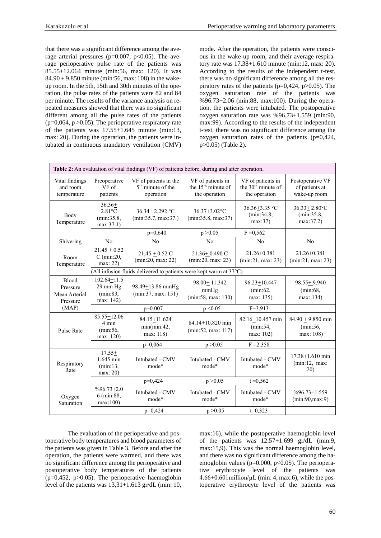that there was a significant difference among the average arterial pressures ( $p=0.007$ ,  $p<0.05$ ). The average perioperative pulse rate of the patients was 85.55+12.064 minute (min:56, max: 120). It was 84.90 + 9.850 minute (min:56, max: 108) in the wakeup room. In the 5th, 15th and 30th minutes of the operation, the pulse rates of the patients were 82 and 84 per minute. The results of the variance analysis on repeated measures showed that there was no significant different among all the pulse rates of the patients  $(p=0,064, p > 0.05)$ . The perioperative respiratory rate of the patients was 17.55+1.645 minute (min:13, max: 20). During the operation, the patients were intubated in continuous mandatory ventilation (CMV) mode. After the operation, the patients were conscious in the wake-up room, and their average respiratory rate was 17.38+1.610 minute (min:12, max: 20). According to the results of the independent t-test, there was no significant difference among all the respiratory rates of the patients ( $p=0,424, p>0.05$ ). The oxygen saturation rate of the patients was %96.73+2.06 (min:88, max:100). During the operation, the patients were intubated. The postoperative oxygen saturation rate was %96.73+1.559 (min:90, max:99). According to the results of the independent t-test, there was no significant difference among the oxygen saturation rates of the patients  $(p=0.424,$ p>0.05) (Table 2).

| Table 2: An evaluation of vital findings (VF) of patients before, during and after operation. |                                                                    |                                                                     |                                                                      |                                                                      |                                                    |  |  |  |  |
|-----------------------------------------------------------------------------------------------|--------------------------------------------------------------------|---------------------------------------------------------------------|----------------------------------------------------------------------|----------------------------------------------------------------------|----------------------------------------------------|--|--|--|--|
| Vital findings<br>and room<br>temperature                                                     | Preoperative<br>VF of<br>patients                                  | VF of patients in the<br>5 <sup>th</sup> minute of the<br>operation | VF of patients in<br>the 15 <sup>th</sup> minute of<br>the operation | VF of patients in<br>the 30 <sup>th</sup> minute of<br>the operation | Postoperative VF<br>of patients at<br>wake-up room |  |  |  |  |
| Body<br>Temperature                                                                           | $36.36+$<br>$2.81^{\circ}$ C<br>(min:35.8,<br>max:37.1)            | 36.34+2.292 °C<br>(min:35.7, max:37.)                               | 36.37+3.02°C<br>(min:35.8, max:37)                                   | $36.36 + 3.35$ °C<br>(min:34.8,<br>max:37)                           | $36.33 \pm 2.80$ °C<br>(min:35.8,<br>max:37.2)     |  |  |  |  |
|                                                                                               |                                                                    | $p=0,640$                                                           | p > 0.05                                                             | $F = 0,562$                                                          |                                                    |  |  |  |  |
| Shivering                                                                                     | N <sub>o</sub>                                                     | N <sub>o</sub>                                                      | N <sub>o</sub>                                                       | N <sub>o</sub>                                                       | N <sub>o</sub>                                     |  |  |  |  |
| Room<br>Temperature                                                                           | $21,45 + 0.52$<br>$C$ (min:20,<br>max: 22)                         | $21,45 + 0.52$ C<br>(min:20, max: 22)                               | $21.36 \pm 0.490$ C<br>(min:20, max: 23)                             | $21.26 + 0.381$<br>(min:21, max:23)                                  | $21.26 + 0.381$<br>(min:21, max: 23)               |  |  |  |  |
|                                                                                               | (All infusion fluids delivered to patients were kept warm at 37°C) |                                                                     |                                                                      |                                                                      |                                                    |  |  |  |  |
| <b>Blood</b><br>Pressure<br>Mean Arterial<br>Pressure                                         | $102.64 + 11.5$<br>29 mm Hg<br>(min:83,<br>max: 142)               | 98.49 $\pm$ 13.86 mmHg<br>(min:37, max: 151)                        | $98.00 \pm 11.342$<br>mmHg<br>(min:58, max: 130)                     | $96.23 \pm 10.447$<br>(min:62,<br>max: 135)                          | $98.55 + 9.940$<br>(min:68,<br>max: 134)           |  |  |  |  |
| (MAP)                                                                                         |                                                                    | $p=0.007$<br>$F=3.913$<br>p < 0.05                                  |                                                                      |                                                                      |                                                    |  |  |  |  |
| <b>Pulse Rate</b>                                                                             | 85.55+12.06<br>4 min<br>(min:56,<br>max: 120)                      | 84.15+11.624<br>min(min:42,<br>max: 118)                            | 84.14 <sup>+</sup> 10.820 min<br>(min:52, max: 117)                  | 82.16+10.457 min<br>(min:54,<br>max: 102)                            | $84.90 + 9.850$ min<br>(min:56,<br>max: 108)       |  |  |  |  |
|                                                                                               |                                                                    | $p=0,064$                                                           | p > 0.05                                                             | $F = 2.358$                                                          |                                                    |  |  |  |  |
| Respiratory<br>Rate                                                                           | $17.55+$<br>1.645 min<br>(min:13,<br>max: 20                       | Intubated - CMV<br>mode*                                            | Intubated - CMV<br>mode*                                             | Intubated - CMV<br>mode*                                             | 17.38+1.610 min<br>(min:12, max:<br>20)            |  |  |  |  |
|                                                                                               |                                                                    | $p=0,424$                                                           | p > 0.05                                                             | $t = 0,562$                                                          |                                                    |  |  |  |  |
| Oxygen<br>Saturation                                                                          | $%96.73+2.0$<br>6 (min:88,<br>max:100)                             | Intubated - CMV<br>mode*                                            | Intubated - CMV<br>mode*                                             | Intubated - CMV<br>mode*                                             | $%96.73 \pm 1.559$<br>(min:90, max:9)              |  |  |  |  |
|                                                                                               |                                                                    | $p=0,424$                                                           | p > 0.05                                                             | $t=0.323$                                                            |                                                    |  |  |  |  |

The evaluation of the perioperative and postoperative body temperatures and blood parameters of the patients was given in Table 3. Before and after the operation, the patients were warmed, and there was no significant difference among the perioperative and postoperative body temperatures of the patients (p=0,452, p>0.05). The perioperative haemoglobin level of the patients was  $13,31+1.613$  gr/dL (min: 10, max:16), while the postoperative haemoglobin level of the patients was  $12.57+1.699$  gr/dL (min:9, max:15,9). This was the normal haemoglobin level, and there was no significant difference among the haemoglobin values ( $p=0.000$ ,  $p<0.05$ ). The perioperative erythrocyte level of the patients was  $4.66+0.601$ million/ $\mu$ L (min: 4, max: 6), while the postoperative erythrocyte level of the patients was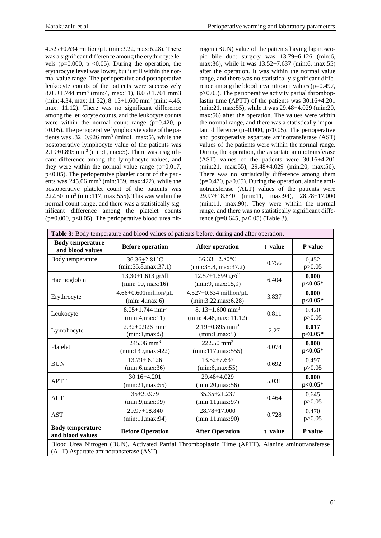4.527+0.634 million/µL (min:3.22, max:6.28). There was a significant difference among the erythrocyte levels ( $p=0.000$ ,  $p < 0.05$ ). During the operation, the erythrocyte level was lower, but it still within the normal value range. The perioperative and postoperative leukocyte counts of the patients were successively 8.05+1.744 mm<sup>3</sup> (min:4, max:11), 8.05+1.701 mm3 (min: 4.34, max: 11.32), 8. 13+1.600 mm<sup>3</sup> (min: 4.46, max: 11.12). There was no significant difference among the leukocyte counts, and the leukocyte counts were within the normal count range  $(p=0.420, p)$ >0.05). The perioperative lymphocyte value of the patients was  $.32+0.926$  mm<sup>3</sup> (min:1, max:5), while the postoperative lymphocyte value of the patients was  $2.19+0.895$  mm<sup>3</sup> (min:1, max:5). There was a significant difference among the lymphocyte values, and they were within the normal value range  $(p=0.017)$ , p<0.05). The perioperative platelet count of the patients was  $245.06$  mm<sup>3</sup> (min:139, max:422), while the postoperative platelet count of the patients was  $222.50$  mm<sup>3</sup> (min:117, max:555). This was within the normal count range, and there was a statistically significant difference among the platelet counts  $(p=0.000, p<0.05)$ . The perioperative blood urea nitrogen (BUN) value of the patients having laparoscopic bile duct surgery was 13.79+6.126 (min:6, max:36), while it was 13.52+7.637 (min:6, max:55) after the operation. It was within the normal value range, and there was no statistically significant difference among the blood urea nitrogen values (p=0.497,  $p>0.05$ ). The perioperative activity partial thromboplastin time (APTT) of the patients was 30.16+4.201 (min:21, max:55), while it was 29.48+4.029 (min:20, max:56) after the operation. The values were within the normal range, and there was a statistically important difference ( $p=0.000$ ,  $p<0.05$ ). The perioperative and postoperative aspartate aminotransferase (AST) values of the patients were within the normal range. During the operation, the aspartate aminotransferase (AST) values of the patients were 30.16+4.201 (min:21, max:55), 29.48+4.029 (min:20, max:56). There was no statistically difference among them  $(p=0.470, p>0.05)$ . During the operation, alanine aminotransferase (ALT) values of the patients were 29.97+18.840 (min:11, max:94), 28.78+17.000 (min:11, max:90). They were within the normal range, and there was no statistically significant difference (p=0.645, p>0.05) (Table 3).

| Table 3: Body temperature and blood values of patients before, during and after operation.                                                  |                                                  |                                                          |         |                    |  |  |
|---------------------------------------------------------------------------------------------------------------------------------------------|--------------------------------------------------|----------------------------------------------------------|---------|--------------------|--|--|
| <b>Body temperature</b><br>and blood values                                                                                                 | <b>Before operation</b>                          | <b>After operation</b>                                   | t value | P value            |  |  |
| Body temperature                                                                                                                            | 36.36+2.81°C<br>(min:35.8, max:37.1)             | $36.33 + 2.80$ °C<br>(min:35.8, max:37.2)                | 0.756   | 0,452<br>p > 0.05  |  |  |
| Haemoglobin                                                                                                                                 | $13,30+1.613$ gr/dl<br>(min: 10, max: 16)        | $12.57 + 1.699$ gr/dl<br>(min:9, max:15,9)               | 6.404   | 0.000<br>$p<0.05*$ |  |  |
| Erythrocyte                                                                                                                                 | $4.66+0.601$ million/ $\mu$ L<br>(min: 4, max:6) | $4.527+0.634$ million/ $\mu$ L<br>(min:3.22, max:6.28)   | 3.837   | 0.000<br>$p<0.05*$ |  |  |
| Leukocyte                                                                                                                                   | $8.05 + 1.744$ mm <sup>3</sup><br>(min:4,max:11) | 8. $13+1.600$ mm <sup>3</sup><br>(min: 4.46, max: 11.12) | 0.811   | 0.420<br>p > 0.05  |  |  |
| Lymphocyte                                                                                                                                  | $2.32+0.926$ mm <sup>3</sup><br>(min:1,max:5)    | $2.19 + 0.895$ mm <sup>3</sup><br>(min:1,max:5)          | 2.27    | 0.017<br>$p<0.05*$ |  |  |
| Platelet                                                                                                                                    | $245.06$ mm <sup>3</sup><br>(min:139, max:422)   | 222.50 mm <sup>3</sup><br>(min:117, max:555)             | 4.074   | 0.000<br>$p<0.05*$ |  |  |
| <b>BUN</b>                                                                                                                                  | $13.79 + 6.126$<br>(min:6, max:36)               | $13.52 + 7.637$<br>(min:6, max:55)                       | 0.692   | 0.497<br>p > 0.05  |  |  |
| <b>APTT</b>                                                                                                                                 | $30.16 + 4.201$<br>(min:21, max:55)              | 29.48+4.029<br>(min:20, max:56)                          | 5.031   | 0.000<br>$p<0.05*$ |  |  |
| <b>ALT</b>                                                                                                                                  | 35+20.979<br>(min:9,max:99)                      | 35.35+21.237<br>(min:11, max:97)                         | 0.464   | 0.645<br>p > 0.05  |  |  |
| <b>AST</b>                                                                                                                                  | 29.97+18.840<br>(min:11, max:94)                 | 28.78+17.000<br>(min:11, max:90)                         | 0.728   | 0.470<br>p > 0.05  |  |  |
| <b>Body temperature</b><br>and blood values                                                                                                 | <b>Before Operation</b>                          | <b>After Operation</b>                                   | t value | P value            |  |  |
| Blood Urea Nitrogen (BUN), Activated Partial Thromboplastin Time (APTT), Alanine aminotransferase<br>(ALT) Aspartate aminotransferase (AST) |                                                  |                                                          |         |                    |  |  |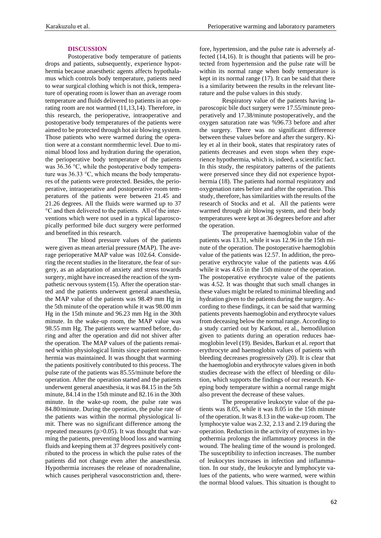### **DISCUSSION**

Postoperative body temperature of patients drops and patients, subsequently, experience hypothermia because anaesthetic agents affects hypothalamus which controls body temperature, patients need to wear surgical clothing which is not thick, temperature of operating room is lower than an average room temperature and fluids delivered to patients in an operating room are not warmed (11,13,14). Therefore, in this research, the perioperative, intraoperative and postoperative body temperatures of the patients were aimed to be protected through hot air blowing system. Those patients who were warmed during the operation were at a constant normthermic level. Due to minimal blood loss and hydration during the operation, the perioperative body temperature of the patients was 36.36 °C, while the postoperative body temperature was 36.33 °C, which means the body temperatures of the patients were protected. Besides, the perioperative, intraoperative and postoperative room temperatures of the patients were between 21.45 and 21.26 degrees. All the fluids were warmed up to 37 °C and then delivered to the patients. All of the interventions which were not used in a typical laparoscopically performed bile duct surgery were performed and benefited in this research.

The blood pressure values of the patients were given as mean arterial pressure (MAP). The average perioperative MAP value was 102.64. Considering the recent studies in the literature, the fear of surgery, as an adaptation of anxiety and stress towards surgery, might have increased the reaction of the sympathetic nervous system (15). After the operation started and the patients underwent general anaesthesia, the MAP value of the patients was 98.49 mm Hg in the 5th minute of the operation while it was 98.00 mm Hg in the 15th minute and 96.23 mm Hg in the 30th minute. In the wake-up room, the MAP value was 98.55 mm Hg. The patients were warmed before, during and after the operation and did not shiver after the operation. The MAP values of the patients remained within physiological limits since patient normothermia was maintained. It was thought that warming the patients positively contributed to this process. The pulse rate of the patients was 85.55/minute before the operation. After the operation started and the patients underwent general anaesthesia, it was 84.15 in the 5th minute, 84.14 in the 15th minute and 82.16 in the 30th minute. In the wake-up room, the pulse rate was 84.80/minute. During the operation, the pulse rate of the patients was within the normal physiological limit. There was no significant difference among the repeated measures (p>0.05). It was thought that warming the patients, preventing blood loss and warming fluids and keeping them at 37 degrees positively contributed to the process in which the pulse rates of the patients did not change even after the anaesthesia. Hypothermia increases the release of noradrenaline, which causes peripheral vasoconstriction and, therefore, hypertension, and the pulse rate is adversely affected (14,16). It is thought that patients will be protected from hypertension and the pulse rate will be within its normal range when body temperature is kept in its normal range (17). It can be said that there is a similarity between the results in the relevant literature and the pulse values in this study.

Respiratory value of the patients having laparoscopic bile duct surgery were 17.55/minute preoperatively and 17.38/minute postoperatively, and the oxygen saturation rate was %96.73 before and after the surgery. There was no significant difference between these values before and after the surgery. Kiley et al in their book, states that respiratory rates of patients decreases and even stops when they experience hypothermia, which is, indeed, a scientific fact. In this study, the respiratory patterns of the patients were preserved since they did not experience hypothermia (18). The patients had normal respiratory and oxygenation rates before and after the operation. This study, therefore, has similarities with the results of the research of Stocks and et al. All the patients were warmed through air blowing system, and their body temperatures were kept at 36 degrees before and after the operation.

The preoperative haemoglobin value of the patients was 13.31, while it was 12.96 in the 15th minute of the operation. The postoperative haemoglobin value of the patients was 12.57. In addition, the preoperative erythrocyte value of the patients was 4.66 while it was 4.65 in the 15th minute of the operation. The postoperative erythrocyte value of the patients was 4.52. It was thought that such small changes in these values might be related to minimal bleeding and hydration given to the patients during the surgery. According to these findings, it can be said that warming patients prevents haemoglobin and erythrocyte values from deceasing below the normal range. According to a study carried out by Karkout, et al., hemodilution given to patients during an operation reduces haemoglobin level (19). Besides, Barkun et al. report that erythrocyte and haemoglobin values of patients with bleeding decreases progressively (20). It is clear that the haemoglobin and erythrocyte values given in both studies decrease with the effect of bleeding or dilution, which supports the findings of our research. Keeping body temperature within a normal range might also prevent the decrease of these values.

The preoperative leukocyte value of the patients was 8.05, while it was 8.05 in the 15th minute of the operation. It was 8.13 in the wake-up room. The lymphocyte value was 2.32, 2.13 and 2.19 during the operation. Reduction in the activity of enzymes in hypothermia prolongs the inflammatory process in the wound. The healing time of the wound is prolonged. The susceptibility to infection increases. The number of leukocytes increases in infection and inflammation. In our study, the leukocyte and lymphocyte values of the patients, who were warmed, were within the normal blood values. This situation is thought to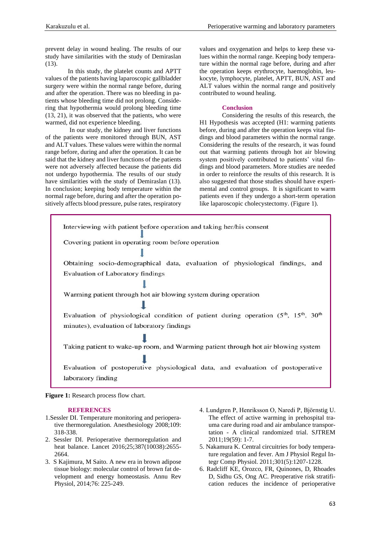prevent delay in wound healing. The results of our study have similarities with the study of Demiraslan (13).

In this study, the platelet counts and APTT values of the patients having laparoscopic gallbladder surgery were within the normal range before, during and after the operation. There was no bleeding in patients whose bleeding time did not prolong. Considering that hypothermia would prolong bleeding time (13, 21), it was observed that the patients, who were warmed, did not experience bleeding.

In our study, the kidney and liver functions of the patients were monitored through BUN, AST and ALT values. These values were within the normal range before, during and after the operation. It can be said that the kidney and liver functions of the patients were not adversely affected because the patients did not undergo hypothermia. The results of our study have similarities with the study of Demiraslan (13). In conclusion; keeping body temperature within the normal rage before, during and after the operation positively affects blood pressure, pulse rates, respiratory values and oxygenation and helps to keep these values within the normal range. Keeping body temperature within the normal rage before, during and after the operation keeps erythrocyte, haemoglobin, leukocyte, lymphocyte, platelet, APTT, BUN, AST and ALT values within the normal range and positively contributed to wound healing.

## **Conclusion**

Considering the results of this research, the H1 Hypothesis was accepted (H1: warming patients before, during and after the operation keeps vital findings and blood parameters within the normal range. Considering the results of the research, it was found out that warming patients through hot air blowing system positively contributed to patients' vital findings and blood parameters. More studies are needed in order to reinforce the results of this research. It is also suggested that those studies should have experimental and control groups. It is significant to warm patients even if they undergo a short-term operation like laparoscopic cholecystectomy. (Figure 1).



**Figure 1:** Research process flow chart.

#### **REFERENCES**

- 1.Sessler DI. Temperature monitoring and perioperative thermoregulation. Anesthesiology 2008;109: 318-338.
- 2. Sessler DI. Perioperative thermoregulation and heat balance. Lancet 2016;25;387(10038):2655- 2664.
- 3. S Kajimura, M Saito. A new era in brown adipose tissue biology: molecular control of brown fat development and energy homeostasis. Annu Rev Physiol, 2014;76: 225-249.
- 4. Lundgren P, Henriksson O, Naredi P, Björnstig U. The effect of active warming in prehospital trauma care during road and air ambulance transportation - A clinical randomized trial. SJTREM 2011;19(59): 1-7.
- 5. Nakamura K. Central circuitries for body temperature regulation and fever. Am J Physiol Regul Integr Comp Physiol. 2011;301(5):1207-1228.
- 6. Radcliff KE, Orozco, FR, Quinones, D, Rhoades D, Sidhu GS, Ong AC. Preoperative risk stratification reduces the incidence of perioperative